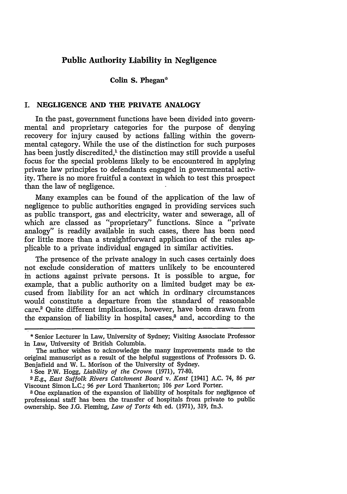# **Public Authority Liability in Negligence**

### **Colin S. Phegan\***

## **I. NEGLIGENCE AND THE PRIVATE ANALOGY**

In the past, government functions have been divided into governmental and proprietary categories for the purpose of denying recovery for injury caused **by** actions falling within the governmental category. While the use of the distinction for such purposes has been justly discredited,<sup>1</sup> the distinction may still provide a useful focus for the special problems likely to be encountered in applying private law principles to defendants engaged in governmental activity. There is no more fruitful a context in which to test this prospect than the law of negligence.

Many examples can be found of the application of the law of negligence to public authorities engaged in providing services such as public transport, gas and electricity, water and sewerage, all of which are classed as "proprietary" functions. Since a "private analogy" is readily available in such cases, there has been need for little more than a straightforward application of the rules applicable to a private individual engaged in similar activities.

The presence of the private analogy in such cases certainly does not exclude consideration of matters unlikely to be encountered in actions against private persons. It is possible to argue, for example, that a public authority on a limited budget may be excused from liability for an act which in ordinary circumstances would constitute a departure from the standard of reasonable care? Quite different implications, however, have been drawn from the expansion of liability in hospital cases.<sup>3</sup> and, according to the

**<sup>\*</sup>** Senior Lecturer in Law, University of Sydney; Visiting Associate Professor in Law, University of British Columbia.

The author wishes to acknowledge the many improvements made to the original manuscript as a result of the helpful suggestions of Professors **D. G.** Benjafield and W. L. Morison of the University of Sydney.<br>1 See P.W. Hogg, Liability of the Crown (1971), 77-80.

<sup>&#</sup>x27; See P.W. Hogg, *Liability of the Crown* (1971), **77-80.** *2 E.g., East Suffolk Rivers Catchment Board v. Kent* [1941] **A.C.** 74, 86 *per* Viscount Simon **L.C.; 96** *per* Lord Thankerton; **106** *per* Lord Porter.

**<sup>8</sup> One** explanation of the expansion of liability of hospitals for negligence of professional staff has been the transfer of hospitals from private to public ownership. See **J.G.** Fleming, *Law of Torts* 4th ed. (1971), 319, fn.3.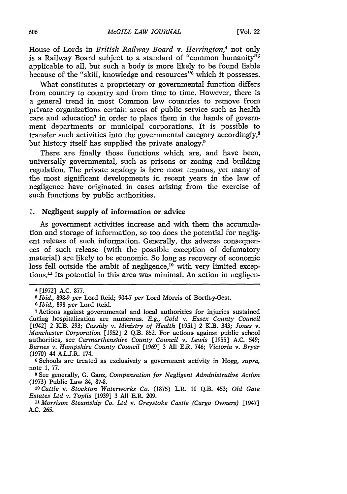House of Lords in *British Railway Board v. Herrington,4* not only is a Railway Board subject to a standard of "common humanity"<sup>6</sup> applicable to all, but such a body is more likely to be found liable because of the "skill, knowledge and resources" $\ddot{\theta}$  which it possesses.

What constitutes a proprietary or governmental function differs from country to country and from time to time. However, there is a general trend in most Common law countries to remove from private organizations certain areas of public service such as health care and education<sup>7</sup> in order to place them in the hands of government departments or municipal corporations. It is possible to transfer such activities into the governmental category accordingly,<sup>8</sup> but history itself has supplied the private analogy.<sup>9</sup>

There are finally those functions which are, and have been, universally governmental, such as prisons or zoning and building regulation. The private analogy is here most tenuous, yet many of the most significant developments in recent years in the law of negligence have originated in cases arising from the exercise of such functions by public authorities.

#### **1.** Negligent supply of information or advice

As government activities increase and with them the accunulation and storage of information, so too does the potential for negligent release of such information. Generally, the adverse consequences of such release (with the possible exception of defamatory material) are likely to be economic. So long as recovery of economic loss fell outside the ambit of negligence,<sup>10</sup> with very limited exceptions,<sup>11</sup> its potential in this area was minimal. An action in negligen-

note **1,** 77.

**9** See generally, G. Ganz, *Compensation for Negligent Administrative Action* (1973) Public Law 84, 87-8.

*'Cattle v. Stockton Waterworks Co.* (1875) L.R. **10** Q.B. 453; *Old Gate Estates Ltd v. Toplis* [1939] 3 **All** E.R. 209.

*"1 Morrison Steamship Co. Ltd v. Greystoke Castle (Cargo Owners)* [1947] A.C. 265.

<sup>4</sup> [1972] A.C. 877.

*<sup>6</sup>Ibid.,* 898-9 *per* Lord Reid; 904-7 *per* Lord Morris of Borth-y-Gest.

**<sup>6</sup>** *Ibid., 898 per* Lord Reid.

Actions against governmental and local authorities for injuries sustained during hospitalization are numerous. *E.g., Gold v. Essex County Council* [1942] 2 K.B. 293; *Cassidy v. Ministry of Health* **[1951]** 2 K.B. 343; *Jones v. Manchester Corporation* [1952] 2 Q.B. 852. For actions against public school authorities, see *Carmarthenshire County Council v. Lewis* [1955] A.C. 549; *Barnes v. Hampshire County Council* [1969] 3 **All** E.R. 746; *Victoria v. Bryar* (1970) 44 A.L.S.R. 174. **<sup>8</sup>**Schools are treated as exclusively a government activity in Hogg, *supra,*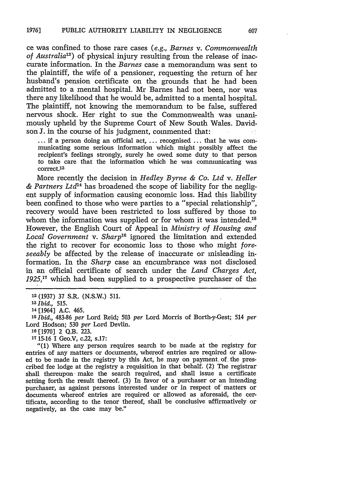ce was confined to those rare cases *(e.g., Barnes v. Commonwealth of Australia)* of physical injury resulting from the release of inaccurate information. In the *Barnes* case a memorandum was sent to the plaintiff, the wife of a pensioner, requesting the return of her husband's pension certificate on the grounds that he had been admitted to a mental hospital. Mr Barnes had not been, nor was there any likelihood that he would be, admitted to a mental hospital. The plaintiff, not knowing the memorandum to be false, suffered nervous shock. Her right to sue the Commonwealth was unanimously upheld by the Supreme Court of New South Wales. Davidson **J.** in the course of his judgment, commented that:

**...** if a person doing an official act, ... recognised ... that he was communicating some serious information which might possibly affect the recipient's feelings strongly, surely he owed some duty to that person to take care that the information which he was communicating was correct.<sup>13</sup>

More recently the decision in *Hedley Byrne & Co. Ltd v. Heller* & Partners Ltd<sup>14</sup> has broadened the scope of liability for the negligent supply of information causing economic loss. Had this liability been confined to those who were parties to a "special relationship", recovery would have been restricted to loss suffered by those to whom the information was supplied or for whom it was intended.<sup>15</sup> However, the English Court of Appeal in *Ministry of Housing and* Local Government v. Sharp<sup>16</sup> ignored the limitation and extended the right to recover for economic loss to those who might *foreseeably* be affected by the release of inaccurate or misleading information. In the *Sharp* case an encumbrance was not disclosed in an official certificate of search under the *Land Charges Act, 1925,1"* which had been supplied to a prospective purchaser of the

*<sup>25</sup>Ibid.,* 483-86 *per* Lord Reid; 503 *per* Lord Morris of Borth-y-Gest; 514 *per* Lord Hodson; **530** *per* Lord Devlin.

**<sup>17</sup>**15-16 I Geo.V, c.22, s.17:

"(1) Where any person requires search to be made at the registry for entries of any matters or documents, whereof entries are required or allowed to be made in the registry by this Act, he may on payment, of, the prescribed fee lodge at the registry a requisition in that behalf. (2) The registrar shall thereupon make the search required, and shall issue a certificate setting forth the result thereof. **(3)** In favor of a purchaser or an intending purchaser, as against persons interested under or in respect of matters or documents whereof entries are required or allowed as aforesaid, the certificate, according to the tenor thereof, shall be conclusive affirmatively or negatively, as the case may be."

**<sup>19</sup>**(1937) **37** S.R. (N.S.W.) 511.

*<sup>13</sup>Ibid., 515.*

<sup>14</sup>[1964] A.C. 465.

**<sup>16</sup>**[1970] 2 Q.B. 223.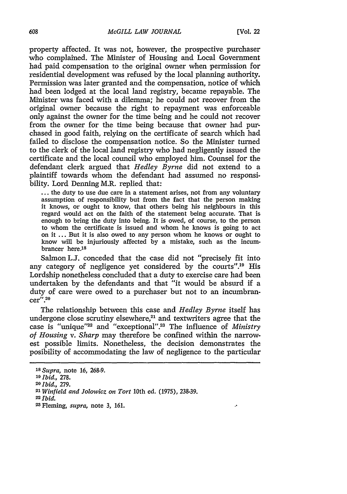$\ddot{\phantom{0}}$ 

property affected. It was not, however, the prospective purchaser who complained. The Minister of Housing and Local Government had paid compensation to the original owner when permission for residential development was refused by the local planning authority. Permission was later granted and the compensation, notice of which had been lodged at the local land registry, became repayable. The Minister was faced with a dilemma; he could not recover from the original owner because the right to repayment was enforceable only against the owner for the time being and he could not recover from the owner for the time being because that owner had purchased in good faith, relying on the certificate of search which had failed to disclose the compensation notice. So the Minister turned to the clerk of the local land registry who had negligently issued the certificate and the local council who employed him. Counsel for the defendant clerk argued that *Hedley Byrne* did not extend to a plaintiff towards whom the defendant had assumed no responsibility. Lord Denning M.R. replied that:

... the duty to use due care in a statement arises, not from any voluntary assumption of responsibility but from the fact that the person making it knows, or ought to know, that others being his neighbours in this regard would act on the faith of the statement being accurate. That is enough to bring the duty into being. It is owed, of course, to the person to whom the certificate is issued and whom he knows is going to act on it ... But it is also owed to any person whom he knows or ought to know will be injuriously affected by a mistake, such as the incumbrancer here.<sup>18</sup>

Salmon L.I. conceded that the case did not "precisely fit into any category of negligence yet considered by the courts".<sup>19</sup> His Lordship nonetheless concluded that a duty to exercise care had been undertaken by the defendants and that "it would be absurd if a duty of care were owed to a purchaser but not to an incumbran $c$ er".<sup>20</sup>

The relationship between this case and *Hedley Byrne* itself has undergone close scrutiny elsewhere, $21$  and textwriters agree that the case is "unique"<sup>22</sup> and "exceptional".<sup>23</sup> The influence of *Ministry of Housing v. Sharp* may therefore be confined within the narrowest possible limits. Nonetheless, the decision demonstrates the posibility of accommodating the law of negligence to the particular

*22Ibid.*

*<sup>18</sup>Supra,* note 16, 268-9.

*<sup>19</sup>Ibid.,* 278.

*<sup>20</sup>Ibid.,* 279. *2*

*<sup>1</sup> Winfield and Jolowicz on Tort* 10th ed. (1975), 238-39.

**<sup>23</sup>**Fleming, *supra,* note 3, **161.**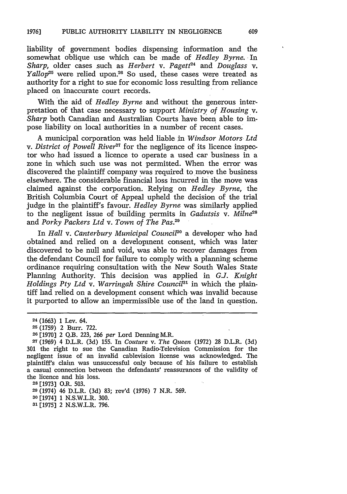liability of government bodies dispensing information and the somewhat oblique use which can be made of *Hedley Byrne.* In *Sharp, older cases such as <i>Herbert v. Pagett*<sup>24</sup> and *Douglass v. Yallop25* were relied upon.26 So used, these cases were treated as authority for a right to sue for economic loss resulting from reliance placed on inaccurate court records.

With the aid of *Hedley Byrne* and without the generous interpretation of that case necessary to support *Ministry of Housing* v. *Sharp* both Canadian and Australian Courts have been able to impose liability on local authorities in a number of recent cases.

A municipal corporation was held liable in *Windsor Motors Ltd v. District of Powell River*<sup>27</sup> for the negligence of its licence inspector who had issued a licence to operate a used car business in a zone in which such use was not permitted. When the error was discovered the plaintiff company was required to move the business elsewhere. The considerable financial loss incurred in the move was claimed against the corporation. Relying on *Hedley Byrne,* the British Columbia Court of Appeal upheld the decision of the trial judge in the plaintiff's favour. *Hedley Byrne* was similarly applied to the negligent issue of building permits in *Gadutsis v. Milne"8* and *Porky Packers Ltd v. Town of The Pas.*<sup>29</sup>

In *Hall v. Canterbury Municipal Council3 °* a developer who had obtained and relied on a development consent, which was later discovered to be null and void, was able to recover damages from the defendant Council for failure to comply with a planning scheme ordinance requiring consultation with the New South Wales State Planning Authority. This decision was applied in *G.J. Knight Holdings Pty Ltd v. Warringah Shire Council<sup>31</sup> in which the plain*tiff had relied on a development consent which was invalid because it purported to allow an impermissible use of the land in question.

**28** [1973] O.R. 503.

**<sup>29</sup>**(1974) 46 D.L.R. (3d) 83; rev'd (1976) 7 N.R. 569.

**<sup>30</sup>**[1974] **1** N.S.W.L.R. 300.

*3'* [1975] 2 N.S.W.L.R. 796.

<sup>24 (1663) 1</sup> Lev. 64.

**<sup>25</sup>**(1759) 2 Burr. 722.

**<sup>26</sup>**[1970] 2 Q.B. 223, 266 *per* Lord Denning M.R.

**<sup>27</sup>**(1969) 4 D.L.R. (3d) 155. In *Couture v. The Queen* (1972) 28 D.L.R. (3d) **301** the right to sue the Canadian Radio-Television Commission for the negligent issue of an invalid cablevision license was acknowledged. The plaintiff's claim was unsuccessful only because of his failure to establish a casual connection between the defendants' reassurances of the validity of the licence and his loss.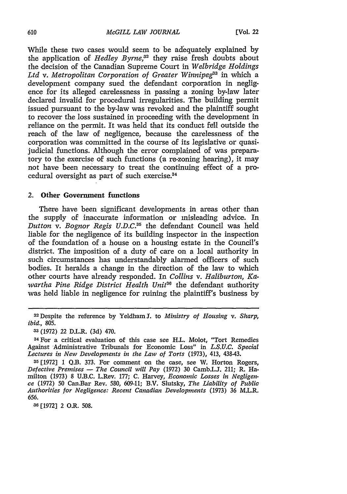While these two cases would seem to be adequately explained by the application of *Hedley Byrne,32* they raise fresh doubts about the decision of the Canadian Supreme Court in *Welbridge Holdings* Ltd v. Metropolitan Corporation of Greater Winnipeg<sup>33</sup> in which a development company sued the defendant corporation in negligence for its alleged carelessness in passing a zoning by-law later declared invalid for procedural irregularities. The building permit issued pursuant to the by-law was revoked and the plaintiff sought to recover the loss sustained in proceeding with the development in reliance on the permit. It was held that its conduct **fell** outside the reach of the law of negligence, because the carelessness of the corporation was committed in the course of its legislative or quasijudicial functions. Although the error complained of was preparatory to the exercise of such functions (a re-zoning hearing), it may not have been necessary to treat the continuing effect of a procedural oversight as part of such exercise. <sup>34</sup>

# 2. Other Government functions

There have been significant developments in areas other than the supply of inaccurate information or misleading advice. In *Dutton v. Bognor Regis U.D.C.35* the defendant Council was held liable for the negligence of its building inspector in the inspection of the foundation of a house on a housing estate in the Council's district. The imposition of a duty of care on a local authority in such circumstances has understandably alarmed officers of such bodies. It heralds a change in the direction of the law to which other courts have already responded. In *Collins v. Haliburton, Kawartha Pine Ridge District Health Unit36* the defendant authority was held liable in negligence for ruining the plaintiff's business by

**36** [1972] 2 O.R. 508.

<sup>&</sup>lt;sup>32</sup> Despite the reference by Yeldham J. to *Ministry of Housing v. Sharp*, *ibid.,* 805.

**<sup>33</sup>**(1972) 22 D.L.R. (3d) 470.

<sup>34</sup>For a critical evaluation of this case see H.L. Molot, "Tort Remedies Against Administrative Tribunals for Economic Loss" in *L.S.U.C. Special Lectures in New Developments in the Law of Torts* (1973), 413, 438-43.

**<sup>35</sup>**[1972] **1** Q.B. 373. For comment on the case, see W. Horton Rogers, *Defective Premises* **-** *The Council will Pay* (1972) 30 Camb.LJ. 211; R. Hamilton (1973) 8 U.B.C. L.Rev. 177; C. Harvey, *Economic Losses in Negligence* (1972) 50 Can.Bar Rev. 580, 609-11; B.V. Slutsky, *The Liability of Public Authorities for Negligence: Recent Canadian Developments* (1973) 36 M.L.R. 656.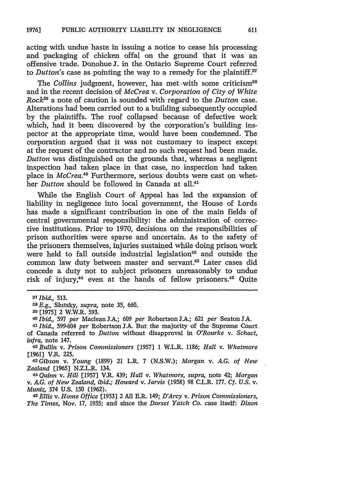acting with undue haste in issuing a notice to cease his processing and packaging of chicken offal on the ground that it was an offensive trade. Donohue J. in the, Ontario Supreme Court referred to *Dutton's* case as pointing the way to a remedy for the plaintiff.<sup>37</sup>

The *Collins* judgment, however, has met with some criticism<sup>38</sup> and in the recent decision of *McCrea v. Corporation of City of White Rock"9* a note of caution is sounded with regard to the *Dutton* case. Alterations had been carried out to a building subsequently occupied by the plaintiffs. The roof collapsed because of defective work which, had it been discovered by the corporation's building inspector at the appropriate time, would have been condemned. The corporation argued that it was not customary to inspect except at the request of the contractor and no such request had been made. *Dutton* was distinguished on the grounds that, whereas a negligent inspection had taken place in that case, no inspection had taken place in *McCrea.<sup>40</sup>* Furthermore, serious doubts were cast on whether *Dutton* should be followed in Canada at all.<sup>41</sup>

While the English Court of Appeal has led the expansion of liability in negligence into local government, the House of Lords has made a significant contribution in one of the main fields of central governmental responsibility: the administration **of** corrective institutions. Prior to 1970, decisions on the responsibilities of prison authorities were sparse and uncertain. As to the safety of the prisoners themselves, injuries sustained while doing prison work were held to fall outside industrial legislation<sup>42</sup> and outside the common law duty between master and servant.43 Later cases did concede a duty not to subject prisoners unreasonably to undue risk of injury, $44$  even at the hands of fellow prisoners. $45$  Quite

*infra,* note 147. *<sup>4</sup> <sup>2</sup> Bullin v. Prison Commissioners* [1957] 1 W.L.R. 1186; *Hall v. Whatmore* [1961] V.R. 225.

*4 Gibson v. Young* (1899) 21 L.R. 7 (N.S.W.); *Morgan v. A.G. of New Zealand* [1965] N.Z.L.R. 134. *44 Quinn v. Hill* [1957] V.R. 439; *Hall v. Whatmore, supra,* note 42; *Morgan*

v. *A.G. of New Zealand, ibid.; Howard v. Jarvis* (1958) 98 C.L.R. 177. *Cf. U.S.* v. *Muniz,* 374 U.S. **150** (1962).

*45 Ellis v. Home Office* [1953] 2 All E.R. 149; *D'Arcy v. Prison Commissioners, The Times,* Nov. 17, 1955; and since the *Dorset Yatch Co.* case itself: *Dixon*

*<sup>37</sup>Ibid., 513.*

*<sup>38</sup>E.g.,* Slutsky, *supra,* note 35, 660.

**<sup>39</sup>** [1975] 2 W.W.R. 593.

*<sup>40</sup>Ibid.,* **597** *per* Maclean **J.A.;** 609 *per* Robertson l.A.; 621 *per* Seaton **l.A.**

*<sup>41</sup> Ibid.,* 599-604 *per* Robertson **JA.** But the majority of the Supreme Court of Canada referred to *Dutton* without disapproval in *O'Rourke v. Schact,*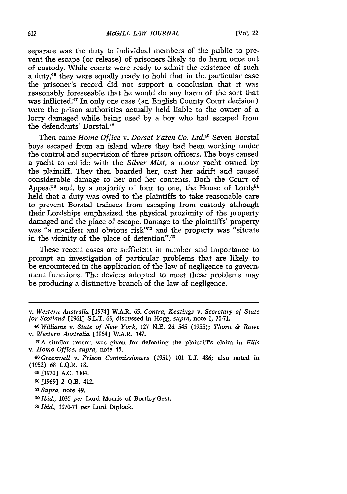separate was the duty to individual members of the public to prevent the escape (or release) of prisoners likely to do harm once out of custody. While courts were ready to admit the existence of such a duty,<sup>46</sup> they were equally ready to hold that in the particular case the prisoner's record did not support a conclusion that it was reasonably foreseeable that he would do any harm of the sort that was inflicted.<sup>47</sup> In only one case (an English County Court decision) were the prison authorities actually held liable to the owner of a lorry damaged while being used by a boy who had escaped from the defendants' Borstal.<sup>48</sup>

Then came *Home Office v. Dorset Yatch Co. Ltd.<sup>49</sup> Seven Borstal* boys escaped from an island where they had been working under the control and supervision of three prison officers. The boys caused a yacht to collide with the *Silver Mist,* a motor yacht owned by the plaintiff. They then boarded her, cast her adrift and caused considerable damage to her and her contents. Both the Court of Appeal<sup>50</sup> and, by a majority of four to one, the House of Lords<sup>51</sup> held that a duty was owed to the plaintiffs to take reasonable care to prevent Borstal trainees from escaping from custody although their Lordships emphasized the physical proximity of the property damaged and the place of escape. Damage to the plaintiffs' property was "a manifest and obvious risk"<sup>52</sup> and the property was "situate in the vicinity of the place of detention".<sup>53</sup>

These recent cases are sufficient in number and importance to prompt an investigation of particular problems that are likely to be encountered in the application of the law of negligence to govermment functions. The devices adopted to meet these problems may be producing a distinctive branch of the law of negligence.

**<sup>53</sup>***Ibid.,* 1070-71 *per* Lord Diplock.

*v. Western Australia* [1974] W.A.R. 65. *Contra, Keatings v. Secretary of State for Scotland* [1961] S.L.T. 63, discussed in Hogg, *supra,* note 1, 70-71.

**<sup>40</sup>***Williams v. State of New York,* 127 **N.E.** 2d 545 (1955); *Thorn & Rowe v. Western Australia* [1964] W.A.R. 147.

**<sup>47</sup>A** similar reason was given for defeating the plaintiff's claim in *Ellis* v. *Home Office, supra,* note 45.

*<sup>48</sup> Greenwell v. Prison Commissioners* (1951) **101 LJ.** 486; also noted in (1952) 68 L.Q.R. 18.

**<sup>49</sup>** [1970] A.C. 1004.

**<sup>50</sup>** [1969] 2 Q.B. 412.

*<sup>51</sup> Supra,* note 49.

*<sup>52</sup>Ibid.,* 1035 *per* Lord Morris of Borth-y-Gest.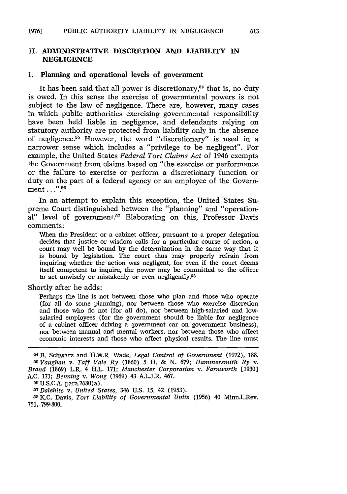### **II. ADMINISTRATIVE DISCRETION AND LIABILITY IN NEGLIGENCE**

#### **1. Planning and operational levels of government**

It has been said that all power is discretionary,<sup> $54$ </sup> that is, no duty is owed. In this sense the exercise of governmental powers is not subject to the law of negligence. There are, however, many cases in which public authorities exercising governmental responsibility have been held liable in negligence, and defendants relying on statutory authority are protected from liability only in the absence of negligence.<sup>55</sup> However, the word "discretionary" is used in a narrower sense which includes a "privilege to be negligent". For example, the United States *Federal Tort Claims Act* of 1946 exempts the Government from claims based on "the exercise or performance or the failure to exercise or perform a discretionary function or duty on the part of a federal agency or an employee of the Government...".<sup>56</sup>

In an attempt to explain this exception, the United States Supreme Court distinguished between the "planning" and "operational" level of government.<sup>57</sup> Elaborating on this, Professor Davis comments:

When the President or a cabinet officer, pursuant to a proper delegation decides that justice or wisdom calls for a particular course of action, a court may well be bound by the determination in the same way that it is bound by legislation. The court thus may properly refrain from inquiring whether the action was negligent, for even if the court deems itself competent to inquire, the power may be committed to the officer to act unwisely or mistakenly or even negligently.<sup>58</sup>

Shortly after he adds:

Perhaps the line is not between those who plan and those who operate (for all do some planning), nor between those who exercise discretion and those who do not (for all do), nor between high-salaried and lowsalaried employees (for the government should be liable for negligence of a cabinet officer driving a government car on government business), nor between manual and mental workers, nor between those who affect economic interests and those who affect physical results. The line must

*57Dalehite v. United States,* 346 U.S. 15, 42 (1953). 58K.C. Davis, *Tort Liability of Governmental Units* (1956) 40 Minn.L.Rev. **751,** 799-800.

<sup>54</sup> B. Schwarz and H.W.R. Wade, *Legal Control of Government* (1972), 188. *55Vaughan v. Taff Vale Ry* (1860) 5 H. & N. 679; *Hammersmith Ry* v. *Brand* (1869) L.R. 4 H.L. 171; *Manchester Corporation v. Farnworth* [1930] A.C. 171; *Benning v. Wong* (1969) 43 A.LJ.R. 467. 56 U.S.C.A. para.2680(a).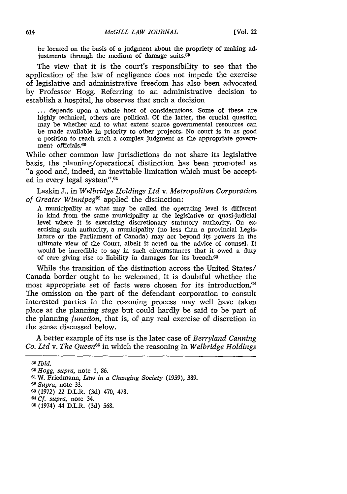be located on the basis of a judgment about the propriety of making adjustments through the medium of damage suits.<sup>59</sup>

The view that it is the court's responsibility to see that the application of the law of negligence does not impede the exercise of legislative and administrative freedom has also been advocated by Professor Hogg. Referring to an administrative decision to establish a hospital, he observes that such a decision

**...** depends upon a whole host of considerations. Some of these are highly technical, others are political. Of the latter, the crucial question may be whether and to what extent scarce governmental resources can be made available in priority to other projects. No court is in as good a position to reach such a complex judgment as the appropriate government officials.60

While other common law jurisdictions do not share its legislative basis, the planning/operational distinction has been promoted as "a good and, indeed, an inevitable limitation which must be accepted in every legal system".<sup>61</sup>

Laskin J., in *Welbridge Holdings Ltd v. Metropolitan Corporation of Greater Winnipeg62* applied the distinction:

A municipality at what may be called the operating level is different in kind from the same municipality at the legislative or quasi-judicial level where it is exercising discretionary statutory authority. On exercising such authority, a municipality (no less than a provincial Legislature or the Parliament of Canada) may act beyond its powers in the ultimate view of the Court, albeit it acted on the advice of counsel. It would be incredible to say in such circumstances that it owed a duty of care giving rise to liability in damages for its breach.63

While the transition of the distinction across the United States/ Canada border ought to be welcomed, it is doubtful whether the most appropriate set of facts were chosen for its introduction.<sup>64</sup> The omission on the part of the defendant corporation to consult interested parties in the re-zoning process may well have taken place at the planning *stage* but could hardly be said to be part of the planning *function,* that is, of any real exercise of discretion in the sense discussed below.

A better example of its use is the later case of *Berryland Canning Co. Ltd v. The Queen*<sup>65</sup> in which the reasoning in *Welbridge Holdings* 

*<sup>59</sup>Ibid.*

*GO Hogg, supra,* note **1,** 86.

**<sup>61</sup>**W. Friedmann, *Law in a Changing Society* (1959), 389.

*62Supra,* note 33.

**6** (1972) 22 D.L.R. (3d) 470, 478.

**<sup>64</sup>***Cf. supra,* note 34.

**<sup>65</sup>**(1974) 44 D.L.R. (3d) 568.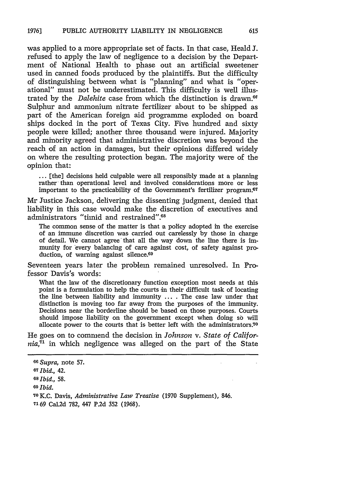was applied to a more appropriate set of facts. In that case, Heald **1.** refused to apply the law of negligence to a decision by the Department of National Health to phase out an artificial sweetener used in canned foods produced by the plaintiffs. But the difficulty of distinguishing between what is "planning" and what is "operational" must not be underestimated. This difficulty is well illustrated by the *Dalehite* case from which the distinction is drawn." Sulphur and ammonium nitrate fertilizer about to be shipped as part of the American foreign aid programme exploded on board ships docked in the port of Texas City. Five hundred and sixty people were killed; another three thousand were injured. Majority and minority agreed that administrative discretion was beyond the reach of an action in damages, but their opinions differed widely on where the resulting protection began. The majority were of the opinion that:

**...** [the] decisions held culpable were all responsibly made at a planning rather than operational level and involved considerations more or less important to the practicability of the Government's fertilizer program.<sup>67</sup>

Mr Justice Jackson, delivering the dissenting judgment, denied that liability in this case would make the discretion of executives and administrators "timid and restrained".<sup>68</sup>

The common sense of the matter is that a policy adopted in the exercise of an immune discretion was carried out carelessly by those in charge of detail. We cannot agree that all the way down the line there is immunity for 'every balancing of care against cost, of safety against production, of warning against silence.<sup>69</sup>

Seventeen years later the problem remained unresolved. In Professor Davis's words:

What the law of the discretionary function exception most needs at this point is a formulation to help the courts in their difficult task of locating the line between liability and immunity .... The case law under that distinction is moving too far away from the purposes of the immunity. Decisions near the borderline should be based on those purposes. Courts should impose liability on the government except when doing so will allocate power to the courts that is better left with the administrators.70

He goes on to commend the decision in *Johnson v. State of California, <sup>1</sup>*in which negligence was alleged on the part of the State

*OGSupra,* note **57.**

**<sup>67</sup>***Ibid.,* 42.

**<sup>68</sup>***Ibid.,* 58.

*<sup>09</sup>Ibid.*

**<sup>70</sup>** K.C. Davis, *Administrative Law Treatise* **(1970** Supplement), 846. *7'* 69 Cal.2d 782, 447 **P.2d 352** (1968).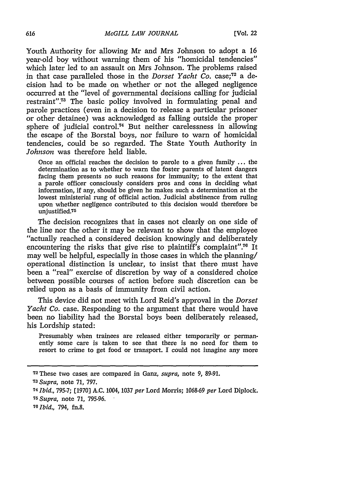Youth Authority for allowing Mr and Mrs Johnson to adopt a **16** year-old boy without warning them of his "homicidal tendencies" which later led to an assault on Mrs Johnson. The problems raised in that case paralleled those in the *Dorset Yacht* Co. case;<sup>72</sup> a decision had to be made on whether or not the alleged negligence occurred at the "level of governmental decisions calling for judicial restraint"73 The basic policy involved in formulating penal and parole practices (even in a decision to release a particular prisoner or other detainee) was acknowledged as falling outside the proper sphere of judicial control.<sup>74</sup> But neither carelessness in allowing the escape of the Borstal boys, nor failure to warn of homicidal tendencies, could be so regarded. The State Youth Authority in *Johnson* was therefore held liable.

Once an official reaches the decision to parole to a given family **...** the determination as to whether to warn the foster parents of latent dangers facing them presents no such reasons for immunity; to the extent that a parole officer consciously considers pros and cons in deciding what information, if any, should be given he makes such a determination at the lowest ministerial rung of official action. Judicial abstinence from ruling upon whether negligence contributed to this decision would therefore **be** unjustified.<sup>75</sup>

The decision recognizes that in cases not clearly on one side of the line nor the other it may be relevant to show that the employee "actually reached a considered decision knowingly and deliberately encountering the risks that give rise to plaintiff's complaint".<sup>76</sup> It may well be helpful, especially in those cases in which the planning/ operational distinction is unclear, to insist that there must have been a "real" exercise of discretion **by** way of a considered choice between possible courses of action before such discretion can be relied upon as a basis of immunity from civil action.

This device did not meet with Lord Reid's approval in the *Dorset Yacht Co.* case. Responding to the argument that there would have been no liability had the Borstal boys been deliberately released, his Lordship stated:

Presumably when trainees are released either temporarily or permanently some care is taken to see that there is no need for them to resort to crime to get food or transport. **I** could not imagine any more

*<sup>73</sup> Supra,* note **71, 797.**

**<sup>72</sup>These** two cases are compared in Ganz, *supra,* note **9, 89-91.**

**<sup>74</sup>***bid.,* **795-7; [1970] A.C.** 1004, **<sup>1037</sup>***per* Lord Morris; **1068-69** *per* Lord Diplock. *<sup>75</sup> Supra,* note **71, 795-96.**

<sup>76</sup>tbid., *794,* **fn.8.**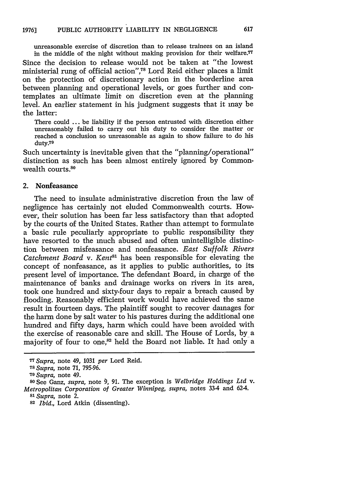unreasonable exercise of discretion than to release trainees on an island in the middle of the night without making provision for their welfare.<sup>77</sup> Since the decision to release would not be taken at "the lowest ministerial rung of official action",<sup>78</sup> Lord Reid either places a limit on the protection of discretionary action in the borderline area between planning and operational levels, or goes further and contemplates an ultimate limit on discretion even at the planning level. An earlier statement in his judgment suggests that it may be the latter:

There could ... be liability if the person entrusted with discretion either unreasonably failed to carry out his duty to consider the matter or reached a conclusion so unreasonable as again to show failure to do his duty.<sup>79</sup>

Such uncertainty is inevitable given that the "planning/operational" distinction as such has been almost entirely ignored by Commonwealth courts.<sup>80</sup>

# 2. Nonfeasance

The need to insulate administrative discretion from the law of negligence has certainly not eluded Commonwealth courts. However, their solution has been far less satisfactory than that adopted by the courts of the United States. Rather than attempt to formulate a basic rule peculiarly appropriate to public responsibility they have resorted to the much abused and often unintelligible distinction between misfeasance and nonfeasance. *East Suffolk Rivers Catchment Board v. Kent*<sup>81</sup> has been responsible for elevating the concept of nonfeasance, as it applies to public authorities, to its present level of importance. The defendant Board, in charge of the maintenance of banks and drainage works on rivers in its area, took one hundred and sixty-four days to repair a breach caused by flooding. Reasonably efficient work would have achieved the same result in fourteen days. The plaintiff sought to recover damages for the harm done by salt water to his pastures during the additional one hundred and fifty days, harm which could have been avoided with the exercise of reasonable care and skill. The House of Lords, by a majority of four to one, ${}^{82}$  held the Board not liable. It had only a

**<sup>77</sup>***Supra,* note 49, 1031 *per* Lord Reid. *<sup>7</sup> <sup>8</sup>Supra,* note 71, 795-96.

*<sup>79</sup>Supra,* note 49.

**s0** See Ganz, *supra,* note **0,** 91. The exception is *Welbridge Holdings Ltd* v. *Metropolitan Corporation of Greater Winnipeg, supra,* notes 33-4 and 62-4. *<sup>8</sup> l Supra,* note 2.

**<sup>82</sup>***Ibid.,* Lord Atkin (dissenting).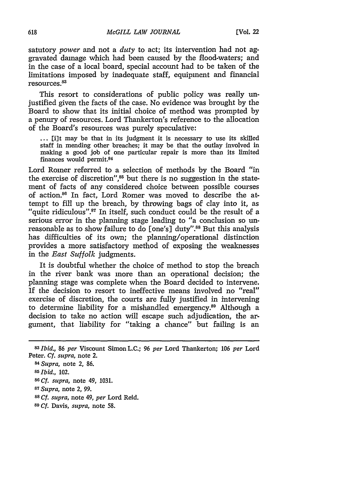satutory *power* and not a *duty* to act; its intervention had not aggravated damage which had been caused **by** the flood-waters; and in the case of a local board, special account had to be taken of the limitations imposed **by** inadequate staff, equipment and financial resources.83

This resort to considerations of public policy was really unjustified given the facts of the case. No evidence was brought **by** the Board to show that its initial choice of method was prompted **by** a penury of resources. Lord Thankerton's reference to the allocation of the Board's resources was purely speculative:

**...** [ilt may be that in its judgment it is necessary to use its skilled staff in mending other breaches; it may be that the outlay involved in making a good **job** of one particular repair is more than its limited finances would permit.<sup>84</sup>

Lord Romer referred to a selection of methods **by** the Board "in the exercise of discretion", $85$  but there is no suggestion in the statement of facts of any considered choice between possible courses of action.<sup>86</sup> In fact, Lord Romer was moved to describe the attempt to fill up the breach, **by** throwing bags of **clay** into it, as "quite ridiculous".<sup>87</sup> In itself, such conduct could be the result of a serious error in the planning stage leading to "a conclusion so unreasonable as to show failure to do [one's] duty".<sup>88</sup> But this analysis has difficulties of its own; the planning/operational distinction provides a more satisfactory method of exposing the weaknesses in the *East Suffolk* judgments.

It is doubtful whether the choice of method to stop the breach in the river bank was more than an operational decision; the planning stage was complete when the Board decided to intervene. **If** the decision to resort to ineffective means involved no "real" exercise of discretion, the courts are fully justified in intervening to determine liability for a mishandled emergency.<sup>89</sup> Although a decision to take no action will escape such adjudication, the argument, that liability for "taking a chance" but failing is an

*<sup>83</sup>Ibid.,* **86** *per* Viscount Simon **L.C.; 96** *per* Lord Thankerton; **106** *per* Lord Peter. *Cf. supra,* note 2.

*<sup>84</sup>Supra,* note 2, **86.** *<sup>85</sup>Ibid.,* 102. **<sup>86</sup>***Cf. supra,* note 49, **1031.** *<sup>8</sup> <sup>7</sup>Supra,* note 2, **99. <sup>88</sup>***Cf. supra,* note 49, *per* Lord Reid.

**<sup>89</sup>***Cf.* Davis, *supra,* note **58.**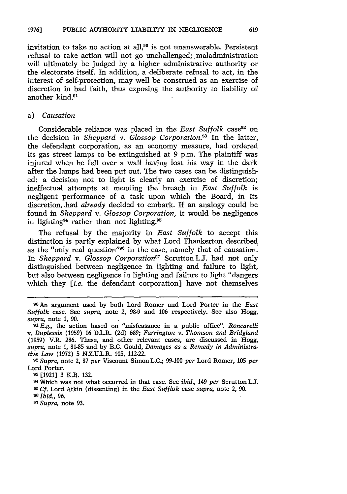invitation to take no action at all,<sup>90</sup> is not unanswerable. Persistent refusal to take action will not go unchallenged; maladministration will ultimately be judged by a higher administrative authority or the electorate itself. In addition, a deliberate refusal to act, in the interest of self-protection, may well be construed as an exercise of discretion in bad faith, thus exposing the authority to liability of another kind.<sup>91</sup>

#### a) *Causation*

Considerable reliance was placed in the *East Suffolk* case<sup>92</sup> on the decision in *Sheppard* v. *Glossop Corporation*.<sup>93</sup> In the latter, the defendant corporation, as an economy measure, had ordered its gas street lamps to be extinguished at 9 p.m. The plaintiff was injured when he fell over a wall having lost his way in the dark after the lamps had been put out. The two cases can be distinguished: a decision not to light is clearly an exercise of discretion; ineffectual attempts at mending the breach in *East Suffolk* is negligent performance of a task upon which the Board, in its discretion, .had *already* decided to embark. **If** an analogy could be found in *Sheppard v. Glossop Corporation,* it would be negligence in lighting<sup>94</sup> rather than not lighting.<sup>95</sup>

The refusal by the majority in *East Suffolk* to accept this distinction is partly explained by what Lord Thankerton described as the "only real question"<sup>96</sup> in the case, namely that of causation. In *Sheppard v. Glossop Corporation"* Scrutton L.J. had not only distinguished between negligence in lighting and failure to light, but also between negligence in lighting and failure to light "dangers which they *[i.e.* the defendant corporation] have not themselves

**<sup>23</sup>[1921] 3** K.B. **132.** 04 Which was not what occurred in that case. See *ibid.,* 149 *per* Scrutton **L.** *95 Cf.* Lord Atkin (dissenting) in the *East Sufflok* case *supra,* note 2, 90. *N Ibid.,* 96.

*<sup>97</sup> Supra,* note **93.**

**<sup>90</sup>**An argument used by both Lord Romer and Lord Porter in the *East Suffolk* case. See *supra,* note 2, 98-9 and 106 respectively. See also Hogg, *supra,* note 1, 90.

*<sup>91</sup> E.g.,* the action based on "misfeasance in a public office". *Roncarelli v. Duplessis* (1959) 16 D.L.R. (2d) 689; *Farrington v. Thomson and Bridgland* (1959) V.R. 286. These, and other relevant cases, are discussed in Hogg, *supra,* note 1, 81-85 and by B.C. Gould, *Damages as a Remedy in Administrative Law* (1972) 5 N.Z.U.L.R. 105, 112-22.

*<sup>9</sup> 2 Supra,* note 2, 87 *per* Viscount Simon L.C.; 99-100 *per* Lord Romer, **105** *per* Lord Porter.<br><sup>93</sup> [1921] 3 K.B. 132.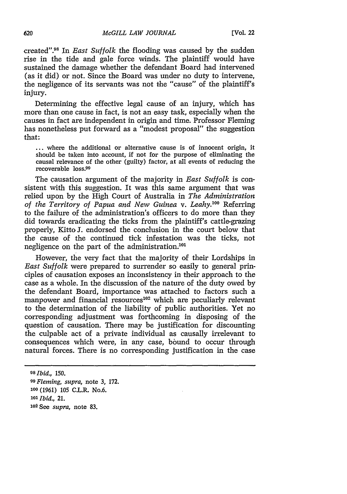created". 98 In *East Suffolk* the flooding was caused by the sudden rise in the tide and gale force winds. The plaintiff would have sustained the damage whether the defendant Board had intervened (as it did) or not. Since the Board was under no duty to intervene, the negligence of its servants was not the "cause" of the plaintiff's injury.

Determining the effective legal cause of an injury, which has more than one cause in fact, is not an easy task, especially when the causes in fact are independent in origin and time. Professor Fleming has nonetheless put forward as a "modest proposal" the suggestion that:

... where the additional or alternative cause is of innocent origin, it should be taken into account, if not for the purpose of eliminating the causal relevance of the other (guilty) factor, at all events of reducing the recoverable loss. <sup>9</sup>

The causation argument of the majority in *East Suffolk* is consistent with this suggestion. It was this same argument that was relied upon by the High Court of Australia in *The Administration of the Territory of Papua and New Guinea v. Leahy.100* Referring to the failure of the administration's officers to do more than they did towards eradicating the ticks from the plaintiff's cattle-grazing properly, Kitto J. endorsed the conclusion in the court below that the cause of the continued tick infestation was the ticks, not negligence on the part of the administration.<sup>101</sup>

However, the very fact that the majority of their Lordships in *East Suffolk* were prepared to surrender so easily to general principles of causation exposes an inconsistency in their approach to the case as a whole. In the discussion of the nature of the duty owed by the defendant Board, importance was attached to factors such a manpower and financial resources<sup>102</sup> which are peculiarly relevant to the determination of the liability of public authorities. Yet no corresponding adjustment was forthcoming in disposing of the question of causation. There may be justification for discounting the culpable act of a private individual as causally irrelevant to consequences which were, in any case, bound to occur through natural forces. There is no corresponding justification in the case

**<sup>98</sup>***Ibid.,* 150. *<sup>99</sup>Fleming, supra,* note 3, 172. **100** (1961) 105 C.L.R. No.6. *<sup>101</sup>Ibid., 21.* **10** See *supra,* note 83.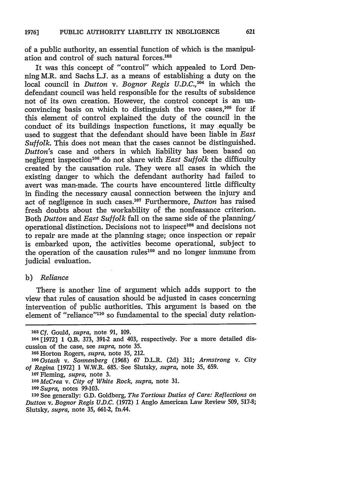of a public authority, an essential function of which is the manipulation and control of such natural forces.<sup>103</sup>

It was this concept of "control" which appealed to Lord Denning M.R. and Sachs L.J. as a means of establishing a duty on the local council in *Dutton v. Bognor Regis U.D.C.,1 ' <sup>4</sup>*in which the defendant council was held responsible for the results of subsidence not of its own creation. However, the control concept is an unconvincing basis on which to distinguish the two cases,  $105$  for if this element of control explained the duty of the council in the conduct of its buildings inspection functions, it may equally be used to suggest that the defendant should have been liable in *East Suffolk.* This does not mean that the cases cannot be distinguished. *Dutton's* case and others in which liability has been based on negligent inspection<sup>106</sup> do not share with *East Suffolk* the difficulty created by the causation rule. They were all cases in which the existing danger to which the defendant authority had failed to avert was man-made. The courts have encountered little difficulty in finding the necessary causal connection between the injury and act of negligence in such cases.<sup>107</sup> Furthermore, *Dutton* has raised fresh doubts about the workability of the nonfeasance criterion. Both *Dutton* and *East Suffolk* fall on the same side of the planning/ operational distinction. Decisions not to inspect<sup>108</sup> and decisions not to repair are made at the planning stage; once inspection or repair is embarked upon, the activities become operational, subject to the operation of the causation rules<sup>109</sup> and no longer immune from judicial evaluation.

#### b) *Reliance*

There is another line of argument which adds support to the view that rules of causation should be adjusted in cases concerning intervention of public authorities. This argument is based on the element of "reliance"<sup>110</sup> so fundamental to the special duty relation-

**<sup>103</sup>**Cf. Gould, *supra,* note *91,* 109.

**<sup>104</sup>** [1972] 1 Q.B. **373, 391-2** and 403, respectively. For a more detailed discussion of the case, see *supra,* note **35.**

<sup>105</sup> Horton Rogers, *supra,* note **35,** 212.

*<sup>&#</sup>x27; <sup>0</sup> 6Ostash v. Sonnenberg* (1968) 67 D.L.R. (2d) 311; *Armstrong v. City of Regina* [1972] 1 W.W.R. 685..See Slutsky, *supra,* note **35,** 659.

**<sup>107</sup>**Fleming, *supra,* note **3.**

*<sup>108</sup>McCrea v. City of White Rock, supra,* note **31.**

*<sup>109</sup>Supra,* notes 99-103.

**<sup>110</sup>** See generally: G.D. Goldberg, *The Tortious Duties of Care: Reflections on Dutton v. Bognor Regis U.D.C.* (1972) 1 Anglo American Law Review 509, 517-8; Slutsky, *supra,* note **35,** 661-2, fn.44.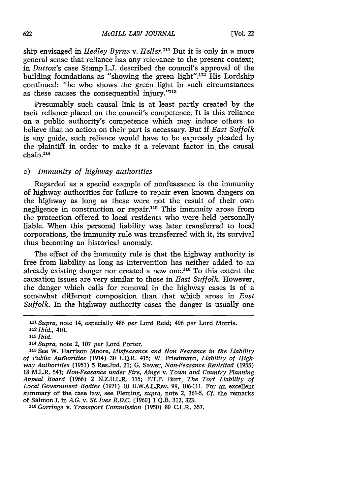ship envisaged in *Hedley Byrne v. Heller."'* But it is only in a more general sense that reliance has any relevance to the present context; in *Dutton's* case Stamp L.J. described the council's approval of the building foundations as "showing the green light".<sup>112</sup> His Lordship continued: "he who shows the green light in such circumstances as these causes the consequential injury."113

Presumably such causal link is at least partly created by the tacit reliance placed on the council's competence. It is this reliance on a public authority's competence which may induce others to believe that no action on their part is necessary. But if *East Suffolk* is any guide, such reliance would have to be expressly pleaded by the plaintiff in order to make it a relevant factor in the causal  $chain<sup>114</sup>$ 

# c) *Immunity of highway authorities*

Regarded as a special example of nonfeasance is the immunity of highway authorities for failure to repair even known dangers on the highway as long as these were not the result of their own negligence in construction or repair.<sup>115</sup> This immunity arose from the protection offered to local residents who were held personally liable. When this personal liability was later transferred to local corporations, the immunity rule was transferred with it, its survival thus becoming an historical anomaly.

The effect of the immunity rule is that the highway authority is free from liability as long as intervention has neither added to an already existing danger nor created a new one.<sup>116</sup> To this extent the causation issues are very similar to those in *East Suffolk.* However, the danger which calls for removal in the highway cases is of a somewhat different composition than that which arose in *East Suffolk.* In the highway authority cases the danger is usually one

*114Supra,* note 2, 107 *per* Lord Porter.

**.16** *Gorringe v. Transport Commission* (1950) 80 C.L.R. 357.

*III Supra,* note 14, especially 486 *per* Lord Reid; 496 *per* Lord Morris. *112 Ibid.,* 410.

*<sup>113</sup>Ibid.*

**<sup>115</sup>See** W. Harrison Moore, *Misfeasance and Non Feasance in the Liability of Public Authorities* (1914) 30 L.Q.R. 415; W. Friedmann, *Liability of Highway Authorities* (1951) 5 ResJud. 21; G. Sawer, *Non-Feasance Revisited* (1955) 18 M.L.R. 541; *Non-Feasance under Fire, Ainge* v. *Town and Country Planning Appeal Board* (1966) 2 N.Z.U.L.R. 115; F.T.P. Burt, *The Tort Liability of Local Government Bodies* (1971) 10 U.W.A.L.Rev. 99, 106-111. For an excellent summary of the case law, see Fleming, *supra,* note 2, 361-5. *Cf.* the remarks of Salmon **J.** in *A.G. v. St. Ives R.D.C.* [1960] 1 Q.B. 312, 323.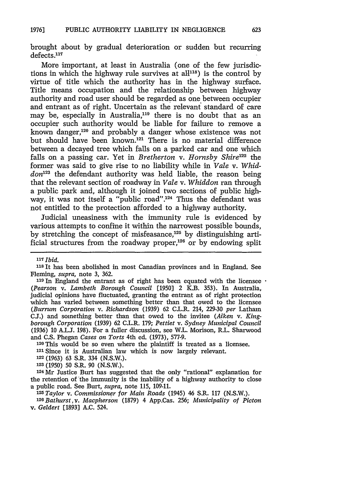brought about by gradual deterioration or sudden but recurring defects.<sup>117</sup>

More important, at least in Australia (one of the few jurisdictions in which the highway rule survives at  $all^{118}$ ) is the control by virtue of title which the authority has in the highway surface. Title means occupation and the relationship between highway authority and road user should be regarded as one between occupier and entrant as of right. Uncertain as the relevant standard of care may be, especially in Australia,<sup>119</sup> there is no doubt that as an occupier such authority would be liable for failure to remove a known danger,<sup>120</sup> and probably a danger whose existence was not but should have been known.<sup>121</sup> There is no material difference between a decayed tree which falls on a parked car and one which falls on a passing car. Yet in *Bretherton v. Hornsby Shire*<sup>122</sup> the former was said to give rise to no liability while in *Vale v. Whiddon*<sup>123</sup> the defendant authority was held liable, the reason being that the relevant section of roadway in *Vale v. Whiddon* ran through a public park and, although it joined two sections of public highway, it was not itself a "public road".<sup>124</sup> Thus the defendant was not entitled to the protection afforded to a highway authority.

Judicial uneasiness with the immunity rule is evidenced by various attempts to confine it within the narrowest possible bounds, by stretching the concept of misfeasance, $125$  by distinguishing artificial structures from the roadway proper,<sup>126</sup> or by endowing split

**<sup>120</sup>**This would be so even where the plaintiff is treated as a licensee. 121 Since it is Australian law which is now largely relevant.

*m Taylor v. Commissioner for Main Roads* (1945) 46 S.R. 117 (N.S.W.). *<sup>326</sup>Bathurst, v. Macpherson* (1879) 4 App.Cas. 256; *Municipality of Picton v. Geldert* [1893] A.C. 524.

*<sup>11\*</sup> Ibid.*

<sup>118</sup> It has been abolished in most Canadian provinces and in England. See Fleming, *supra,* note 3, 362.

<sup>&</sup>lt;sup>119</sup> In England the entrant as of right has been equated with the licensee  $\cdot$ *(Pearson v. Lambeth Borough Council* [1950] 2 K.B. 353). In Australia, judicial opinions have fluctuated, granting the entrant as of right protection which has varied between something better than that owed to the licensee *(Burrum Corporation v. Richardson* (1939) 62 C.L.R. 214, 229-30 *per* Latham **CJ.)** and something better than that owed to the invitee *(Aiken v. Kingborough Corporation* (1939) 62 C.L.R. 179; *Pettiet v. Sydney Municipal Council* (1936) 10 A.L.J. 198). For a fuller discussion, see W.L. Morison, R.L. Sharwood and C.S. Phegan *Cases on Torts* 4th ed. (1973), 577-9.

**<sup>12</sup>** (1963) 63 S.R. 334 (N.S.W.).

**<sup>123</sup>**(1950) 50 S.R. 90 (N.S.W.).

**<sup>124</sup>Mr** Justice Burt has suggested that the only "rational" explanation for the retention of "the immunity is the inability of a highway authority to close a public road. See Burt, *supra,* note 115, 109-11.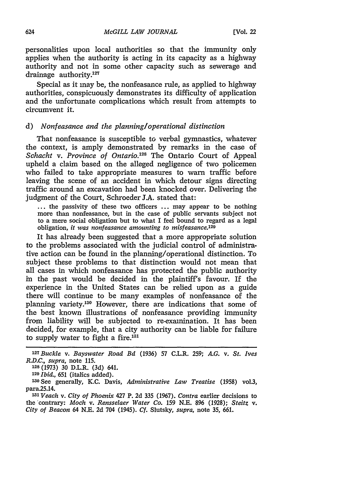personalities upon local authorities so that the immunity only applies when the authority is acting in its capacity as a highway authority and not in some other capacity such as sewerage and drainage authority.<sup>127</sup>

Special as it may be, the nonfeasance rule, as applied to highway authorities, conspicuously demonstrates its difficulty of application and the unfortunate complications which result from attempts to circumvent it.

# **d)** *Nonfeasance and the planning/operational distinction*

That nonfeasance is susceptible to verbal gymnastics, whatever the context, is amply demonstrated **by** remarks in the case of *Schacht v. Province of Ontario.<sup>128</sup>* The Ontario Court of Appeal upheld a claim based on the alleged negligence of two policemen who failed to take appropriate measures to warn traffic before leaving the scene of an accident in which detour signs directing traffic around an excavation had been knocked over. Delivering the judgment of the Court, Schroeder J.A. stated that:

**...** the passivity of these two officers **...** may appear to be nothing more than nonfeasance, but in the case of public servants subject not to a mere social obligation but to what I feel bound to regard as a legal obligation, *it was nonfeasance amounting to misfeasance.129*

It has already been suggested that a more appropriate solution to the problems associated with the judicial control of administrative action can be found in the planning/operational distinction. To subject these problems to that distinction would not mean that all cases in which nonfeasance has protected the public authority in the past would be decided in the plaintiff's favour. If the experience in the United States can be relied upon as a guide there will continue to be many examples of nonfeasance of the planning variety. 130 However, there are indications that some **of** the best known illustrations of nonfeasance providing immunity from liability will be subjected to re-examination. It has been decided, for example, that a city authority can be liable for failure to supply water to fight a fire. $131$ 

**1 28 (1973) 30** D.L.R. **(3d)** 641.

*<sup>129</sup>Ibid.,* **651** (italics added).

1w See generally, K.C. Davis, *Administrative Law Treatise* **(1958)** vol.3, para25.14.

*1 <sup>3</sup> <sup>1</sup>Veach v. City of Phoenix* 427 P. **2d 335 (1967).** *Contra* earlier decisions to the contrary: *Moch v. Rensselaer Water Co.* **159 N.E. 896 (1928);** *Steitz v. City of Beacon* 64 **N.E. 2d** 704 (1945). *Cf.* Slutsky, *supra,* note **35, 661.**

*<sup>-</sup> <sup>27</sup>Buckle v. Bayswater Road Bd* **(1936) 57** C.L.R. **259;** *A.G. v. St. Ives R.D.C., supra,* note **115.**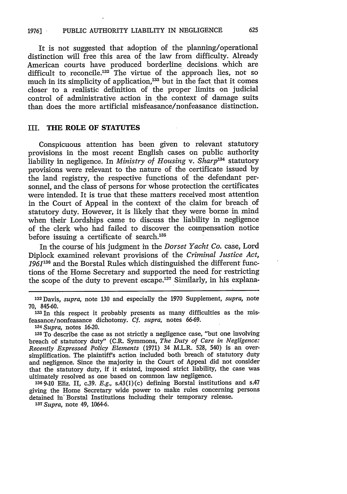It is not suggested that adoption of the planning/operational distinction will free this area of the law from difficulty. Already American courts have produced borderline decisions, which are difficult to reconcile.<sup>132</sup> The virtue of the approach lies, not so much in its simplicity of application,<sup>133</sup> but in the fact that it comes closer to a realistic definition of the proper limits on judicial control of administrative action in the context of damage suits than does the more artificial misfeasance/nonfeasance distinction.

# **III. THE ROLE OF STATUTES**

Conspicuous attention has been given to relevant statutory provisions in the most recent English cases on public authority liability in negligence. In *Ministry of Housing v. Sharp*<sup>134</sup> statutory provisions were relevant to the nature of the certificate issued by the land registry, the respective functions of the defendant personnel, and the class of persons for whose protection the certificates were intended. It is true that these matters received most attention in the Court of Appeal in the context of the claim for breach of statutory duty. However, it is likely that they were borne in mind when their Lordships came to discuss the liability in negligence of the clerk who had failed to discover the compensation notice before issuing a certificate of search.<sup>135</sup>

In the course of his judgment in the *Dorset Yacht Co.* case, Lord Diplock examined relevant provisions of the *Criminal Justice Act, 1961136* and the Borstal Rules which distinguished the different functions of the Home Secretary and supported the need for restricting the scope of the duty to prevent escape.<sup>137</sup> Similarly, in his explana-

**<sup>132</sup>**Davis, *supra,* note **130** and especially the 1970 Supplement, *supra,* note **70, 845-60.**

**<sup>&#</sup>x27;33** In this respect it probably presents as many difficulties as the misfeasance/nonfeasance dichotomy. *Cf. supra,* notes 66-69.

*<sup>1</sup> <sup>3</sup> 4 Supra,* notes 16-20.

**<sup>135</sup>** To describe the case as not strictly a negligence case, "but one involving breach of statutory duty" (C.R. Symmons, *The Duty of Care in Negligence: Recently Expressed Policy Elements* (1971) 34 M.L.R. 528, 540) is an oversimplification. The plaintiff's action included both breach of statutory duty and negligence. Since the majority in the Court of Appeal did not consider that the statutory duty, if it existed, imposed strict liability, the case was ultimately resolved as one based on common law negligence.

**<sup>1369-10</sup>** Eliz. II, c.39. *E.g.,* s.43(l)(c) defining Borstal institutions and s.47 giving the Home Secretary wide power to make rules concerning persons detained in' Borstal Institutions including their temporary release. *13t Supra,* note 49, 1064-6.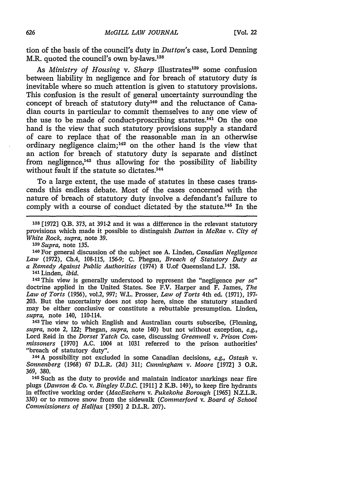tion of the basis of the council's duty in *Dutton's* case, Lord Denning M.R. quoted the council's own by-laws.<sup>138</sup>

As *Ministry of Housing v. Sharp* illustrates<sup>139</sup> some confusion between liability in negligence and for breach of statutory duty is inevitable where so much attention is given to statutory provisions. This confusion is the result of general uncertainty surrounding the concept of breach of statutory duty<sup>140</sup> and the reluctance of Canadian courts in particular to commit themselves to any one view of the use to be made of conduct-proscribing statutes. $^{141}$  On the one hand is the view that such statutory provisions supply a standard of care to replace that of the reasonable man in an otherwise ordinary negligence claim; 42 on the other hand is the view that an action for breach of statutory duty is separate and distinct from negligence, $143$  thus allowing for the possibility of liability without fault if the statute so dictates.<sup>144</sup>

To a large extent, the use made of statutes in these cases transcends this endless debate. Most of the cases concerned with the nature of breach of statutory duty involve a defendant's failure to comply with a course of conduct dictated by the statute.<sup>145</sup> In the

**<sup>138</sup>**[1972] Q.B. 373, at 391-2 and it was a difference in the relevant statutory provisions which made it possible to distinguish *Dutton* in *McRae v. City of White Rock, supra,* note 39.

*' <sup>3</sup> <sup>9</sup> Supra,* note 135.

3 <sup>4</sup> 0 For general discussion of the subject see A. Linden, *Canadian Negligence Law* (1972), Ch.4, 108-115, 156-9; C. Phegan, *Breach of Statutory Duty as a Remedy Against Public Authorities* (1974) 8 U.of QueenslandL.J. 158.

**<sup>141</sup>**Linden, *ibid.*

**<sup>142</sup>**This view is generally understood to represent the "negligence *per se"* doctrine applied in the United States. See F.V. Harper and F. James, *The Law of Torts* (1956), vol.2, 997; W.L. Prosser, *Law of Torts* 4th ed. (1971), 197- 203. But the uncertainty does not stop here, since the statutory standard may be either conclusive or constitute a rebuttable presumption. Linden, *supra,* note 140, 110-114.

**143The** view to which English and Australian courts subscribe, (Fleming, *supra,* note 2, 122; Phegan, *supra,* note 140) but not without exception, *e.g.,* Lord Reid in the *Dorset Yatch Co.* case, discussing *Greenwell v. Prison Cornmissoners* [1970] A.C. 1004 at 1031 referred to the prison authorities' "breach of statutory duty".

144 A possibility not excluded in some Canadian decisions, *e.g., Ostash v. Sonnenberg* (1968) 67 D.L.R. (2d) 311; *Cunningham v. Moore* [1972] 3 O.R. 369, 380.

**<sup>145</sup>**Such as the duty to provide and maintain indicator markings near fire plugs *(Dawson & Co. v. Bingley U.D.C.* [1911] 2 K.B. 149), to keep fire hydrants in effective working order *(MacEachern v. Pukekohe Borough* [1965] N.Z.L.R. 330) or to remove snow from the sidewalk *(Commerford v. Board of School Commissioners of Halifax* [1950] 2 D.L.R. 207).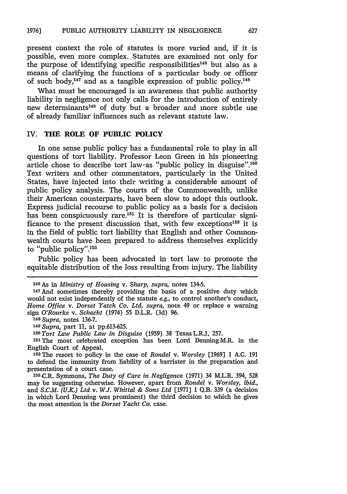present context the role of statutes is more varied and, **if** it is possible, even more complex. Statutes are examined not only for the purpose of identifying specific responsibilities<sup>146</sup> but also as a means of clarifying the functions of a particular body or officer of such body,147 and as a tangible expression of public **policy. <sup>48</sup>**

What must be encouraged is an awareness that public authority liability in negligence not only calls for the introduction of entirely new determinants<sup>149</sup> of duty but a broader and more subtle use of already familiar influences such as relevant statute law.

#### IV. **THE ROLE OF PUBLIC POLICY**

In one sense public policy has a fundamental role to play in all questions of tort liability. Professor Leon Green in his pioneering article chose to describe tort law as "public policy in disguise".<sup>150</sup> Text writers and other commentators, particularly in the United States, have injected into their writing a considerable amount of public policy analysis. The courts of the Commonwealth, unlike their American counterparts, have been slow to adopt this outlook. Express judicial recourse to public policy as a basis for a decision has been conspicuously rare.<sup>151</sup> It is therefore of particular significance to the present discussion that, with few exceptions<sup>152</sup> it is in the field of public tort liability that English and other Commonwealth courts have been prepared to address themselves explicitly to "public policy".<sup>153</sup>

Public policy has been advocated in tort law to promote the equitable distribution of the loss resulting from injury. The liability

*148Supra,* notes **136-7.**

*149 Supra,* part II, at **pp.613-625.**

*<sup>150</sup>Tort Law Public Law in Disguise* **(1959) 38** Texas L.R.1, **257.**

**151The** most celebrated exception has been Lord Denning M.R. in the English Court of Appeal. **<sup>152</sup>**The resort to policy in the case of *Rondel v. Worsley* **[1969] 1 A.C. 191**

to defend the immunity from liability of a barrister in the preparation and presentation of a court case.

**13C.R.** Symmons, *The Duty of Care in Negligence* **(1971)** 34 M.L.R. 394, **528** may be suggesting otherwise. However, apart from *Rondel v. Worsley, ibid.,* and *S.C.M. (U.K.) Ltd v. W.J. Whittal & Sons Ltd* **[1971] 1 Q.B. 339** (a decision in which Lord Denning was prominent) the third decision to which he gives the most attention is the *Dorset Yacht Co.* case.

**<sup>146</sup>As** in *Ministry of Housing v. Sharp, supra,* notes 134-5.

<sup>147</sup> And sometimes thereby providing the basis of a positive duty which would not exist independently of the statute *e.g.,* to control another's conduct, *Home Office v. Dorset Yatch Co. Ltd, supra,* note 49 or replace a warning sign *O'Rourke v. Schacht* (1974) **55** D.L.R. **(3d) 96.**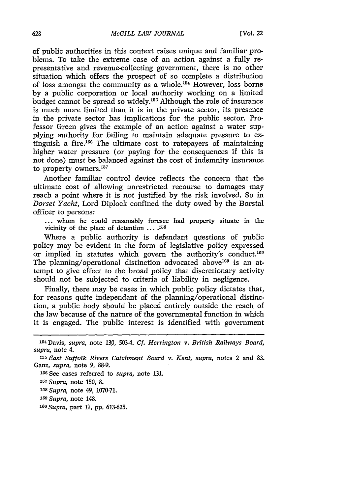of public authorities in this context raises unique and familiar problems. To take the extreme case of an action against a fully representative and revenue-collecting government, there is no other situation which offers the prospect of so complete a distribution of loss amongst the community as a whole.154 However, loss **borne by** a public corporation or local authority working on a limited budget cannot be spread so widely.15r Although the role of insurance is much more limited than it is in the private sector, its presence in the private sector has implications for the public sector. Professor Green gives the example of an action against a water supplying authority for failing to maintain adequate pressure to extinguish a fire.156 The ultimate cost to ratepayers of maintaining higher water pressure (or paying for the consequences if this is not done) must be balanced against the cost of indemnity insurance to property owners.<sup>157</sup>

Another familiar control device reflects the concern that the ultimate cost of allowing unrestricted recourse to damages may reach a point where it is not justified **by** the risk involved. So in *Dorset Yacht,* Lord Diplock confined the duty owed **by** the Borstal officer to persons:

**...** whom he could reasonably foresee had property situate in the vicinity of the place of detention **.... <sup>168</sup>**

Where a public authority is defendant questions of public policy may be evident in the form of legislative policy expressed or implied in statutes which govern the authority's **conduct.119** The planning/operational distinction advocated above<sup>160</sup> is an attempt to give effect to the broad policy that discretionary activity should not be subjected to criteria of liability in negligence.

Finally, there may be cases in which public policy dictates that, for reasons quite independant of the planning/operational distinction, a public body should be placed entirely outside the reach of the law because of the nature of the governmental function in which it is engaged. The public interest is identified with government

**15 See** cases referred to *supra,* note **131.**

*1 <sup>5</sup> 8 Supra,* note 49, **1070-71.**

**<sup>154</sup>**Davis, *supra,* note **130,** 5034. *Cf. Herrington v. British Railways Board, supra,* note 4.

*<sup>1</sup> <sup>55</sup>East Suffolk Rivers Catchment Board v. Kent, supra,* notes 2 and **83.** Ganz, *supra,* note **9, 88-9.**

*<sup>1</sup> <sup>57</sup> Supra,* note **150, 8.**

*<sup>159</sup> Supra,* note 148.

*<sup>1</sup> <sup>0</sup> Supra,* part II, **pp. 613-625.**